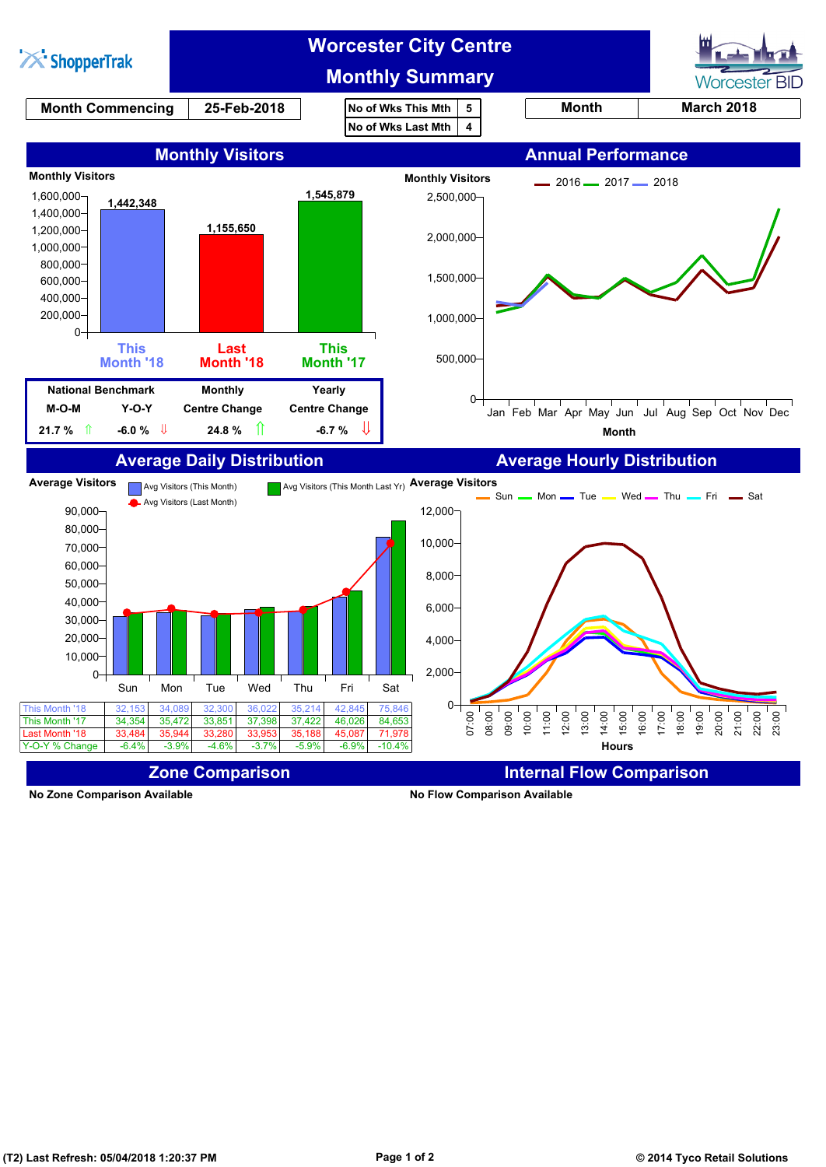

**No Zone Comparison Available No Flow Comparison Available**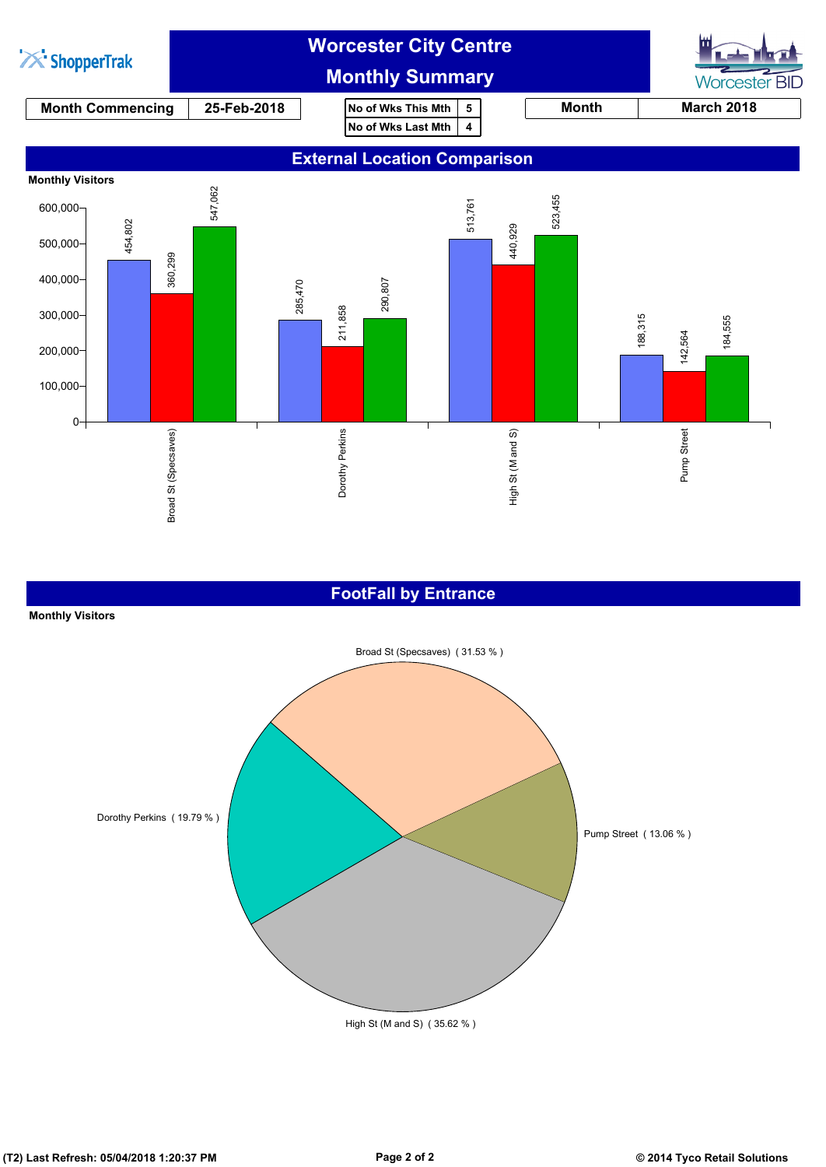

## **FootFall by Entrance**

## **Monthly Visitors**